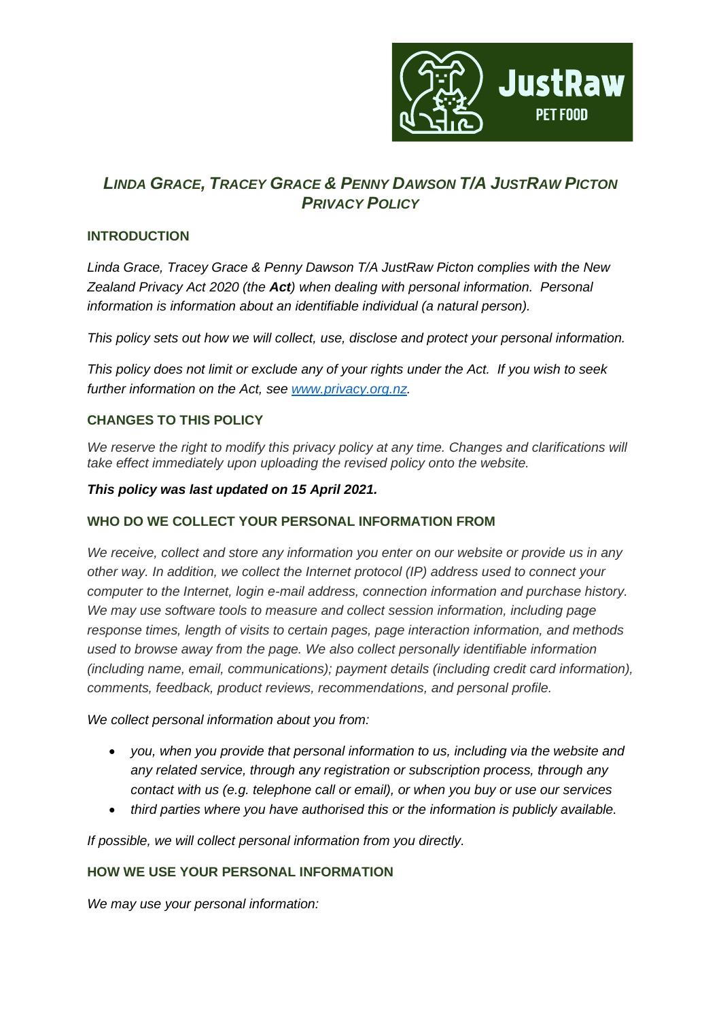

# *LINDA GRACE, TRACEY GRACE & PENNY DAWSON T/A JUSTRAW PICTON PRIVACY POLICY*

# **INTRODUCTION**

*Linda Grace, Tracey Grace & Penny Dawson T/A JustRaw Picton complies with the New Zealand Privacy Act 2020 (the Act) when dealing with personal information. Personal information is information about an identifiable individual (a natural person).*

*This policy sets out how we will collect, use, disclose and protect your personal information.*

*This policy does not limit or exclude any of your rights under the Act. If you wish to seek further information on the Act, see [www.privacy.org.nz.](http://www.privacy.org.nz/)*

# **CHANGES TO THIS POLICY**

*We reserve the right to modify this privacy policy at any time. Changes and clarifications will take effect immediately upon uploading the revised policy onto the website.*

## *This policy was last updated on 15 April 2021.*

# **WHO DO WE COLLECT YOUR PERSONAL INFORMATION FROM**

*We receive, collect and store any information you enter on our website or provide us in any other way. In addition, we collect the Internet protocol (IP) address used to connect your computer to the Internet, login e-mail address, connection information and purchase history. We may use software tools to measure and collect session information, including page response times, length of visits to certain pages, page interaction information, and methods used to browse away from the page. We also collect personally identifiable information (including name, email, communications); payment details (including credit card information), comments, feedback, product reviews, recommendations, and personal profile.*

*We collect personal information about you from:*

- *you, when you provide that personal information to us, including via the website and any related service, through any registration or subscription process, through any contact with us (e.g. telephone call or email), or when you buy or use our services*
- *third parties where you have authorised this or the information is publicly available.*

*If possible, we will collect personal information from you directly.* 

# **HOW WE USE YOUR PERSONAL INFORMATION**

*We may use your personal information:*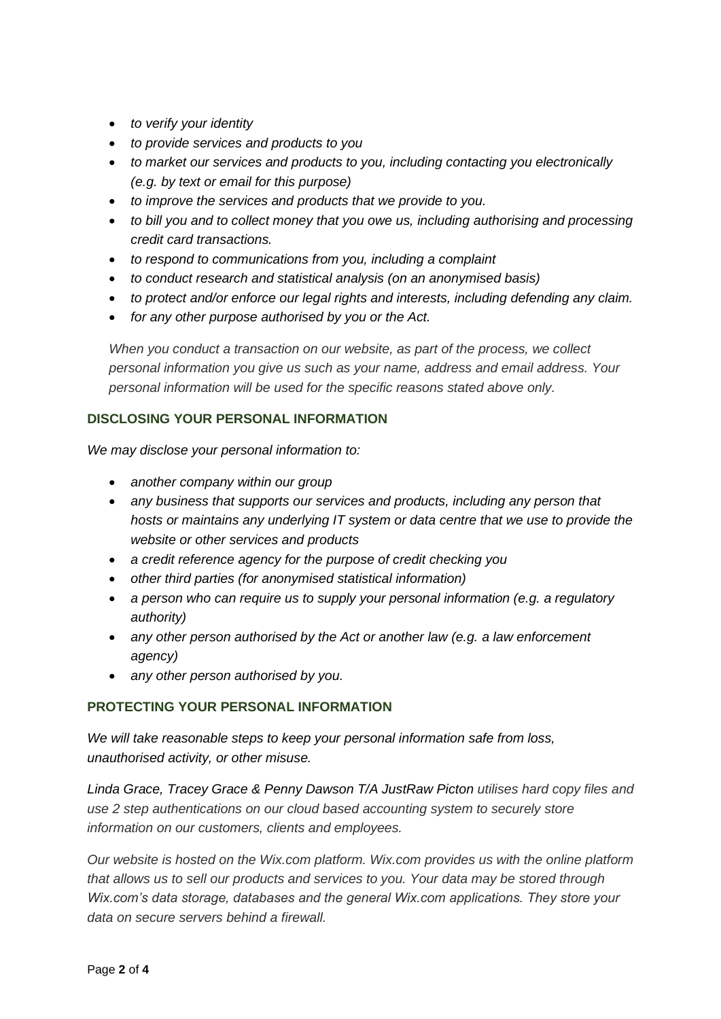- *to verify your identity*
- *to provide services and products to you*
- *to market our services and products to you, including contacting you electronically (e.g. by text or email for this purpose)*
- *to improve the services and products that we provide to you.*
- *to bill you and to collect money that you owe us, including authorising and processing credit card transactions.*
- *to respond to communications from you, including a complaint*
- *to conduct research and statistical analysis (on an anonymised basis)*
- *to protect and/or enforce our legal rights and interests, including defending any claim.*
- *for any other purpose authorised by you or the Act.*

*When you conduct a transaction on our website, as part of the process, we collect personal information you give us such as your name, address and email address. Your personal information will be used for the specific reasons stated above only.*

## **DISCLOSING YOUR PERSONAL INFORMATION**

*We may disclose your personal information to:* 

- *another company within our group*
- *any business that supports our services and products, including any person that hosts or maintains any underlying IT system or data centre that we use to provide the website or other services and products*
- *a credit reference agency for the purpose of credit checking you*
- *other third parties (for anonymised statistical information)*
- *a person who can require us to supply your personal information (e.g. a regulatory authority)*
- *any other person authorised by the Act or another law (e.g. a law enforcement agency)*
- *any other person authorised by you.*

#### **PROTECTING YOUR PERSONAL INFORMATION**

*We will take reasonable steps to keep your personal information safe from loss, unauthorised activity, or other misuse.*

*Linda Grace, Tracey Grace & Penny Dawson T/A JustRaw Picton utilises hard copy files and use 2 step authentications on our cloud based accounting system to securely store information on our customers, clients and employees.*

*Our website is hosted on the Wix.com platform. Wix.com provides us with the online platform that allows us to sell our products and services to you. Your data may be stored through Wix.com's data storage, databases and the general Wix.com applications. They store your data on secure servers behind a firewall.*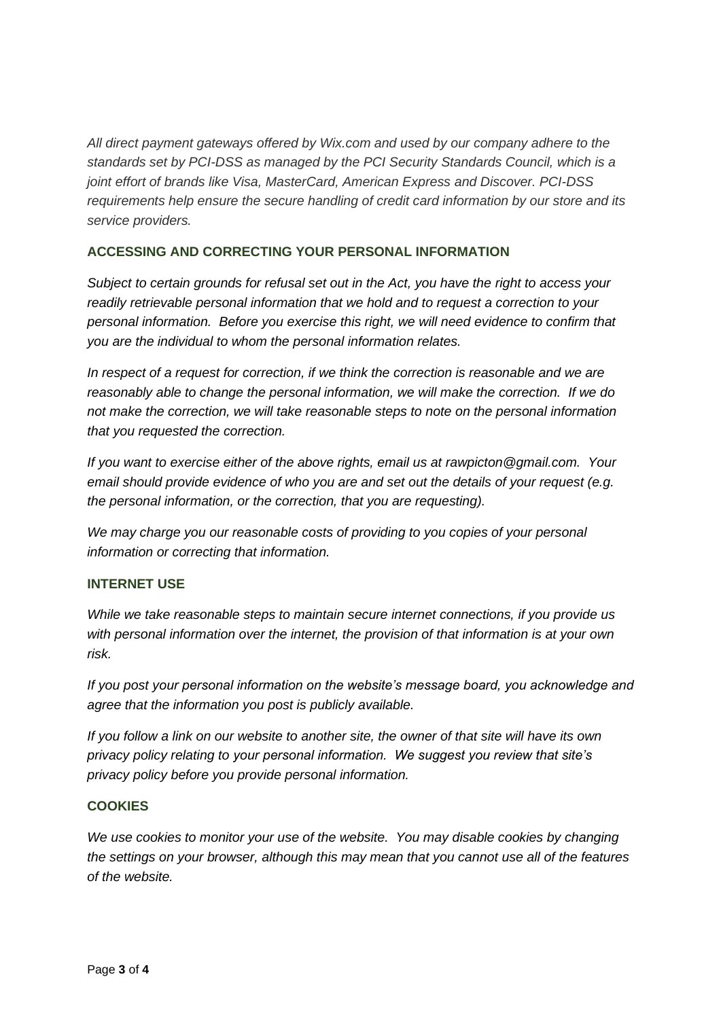*All direct payment gateways offered by Wix.com and used by our company adhere to the standards set by PCI-DSS as managed by the PCI Security Standards Council, which is a joint effort of brands like Visa, MasterCard, American Express and Discover. PCI-DSS requirements help ensure the secure handling of credit card information by our store and its service providers.*

## **ACCESSING AND CORRECTING YOUR PERSONAL INFORMATION**

*Subject to certain grounds for refusal set out in the Act, you have the right to access your readily retrievable personal information that we hold and to request a correction to your personal information. Before you exercise this right, we will need evidence to confirm that you are the individual to whom the personal information relates.*

*In respect of a request for correction, if we think the correction is reasonable and we are reasonably able to change the personal information, we will make the correction. If we do not make the correction, we will take reasonable steps to note on the personal information that you requested the correction.*

*If you want to exercise either of the above rights, email us at rawpicton@gmail.com. Your email should provide evidence of who you are and set out the details of your request (e.g. the personal information, or the correction, that you are requesting).*

*We may charge you our reasonable costs of providing to you copies of your personal information or correcting that information.*

#### **INTERNET USE**

*While we take reasonable steps to maintain secure internet connections, if you provide us with personal information over the internet, the provision of that information is at your own risk.*

*If you post your personal information on the website's message board, you acknowledge and agree that the information you post is publicly available.*

*If you follow a link on our website to another site, the owner of that site will have its own privacy policy relating to your personal information. We suggest you review that site's privacy policy before you provide personal information.*

#### **COOKIES**

*We use cookies to monitor your use of the website. You may disable cookies by changing the settings on your browser, although this may mean that you cannot use all of the features of the website.*